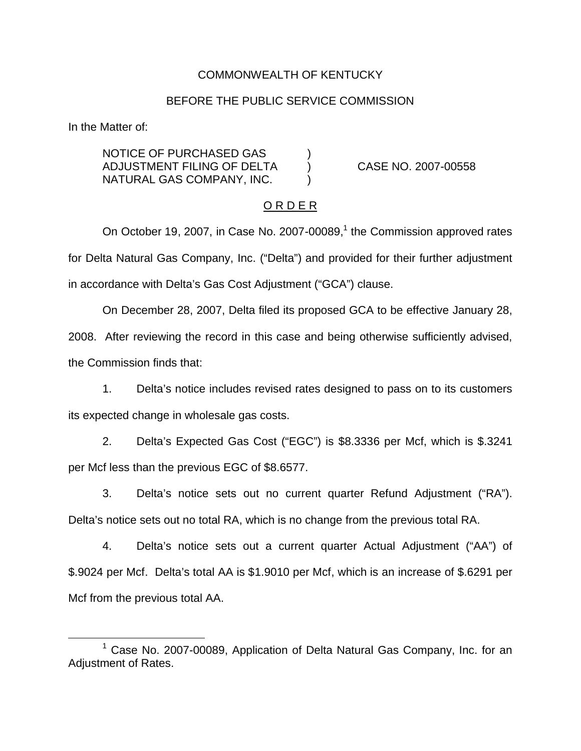## COMMONWEALTH OF KENTUCKY

#### BEFORE THE PUBLIC SERVICE COMMISSION

In the Matter of:

NOTICE OF PURCHASED GAS ) ADJUSTMENT FILING OF DELTA ) CASE NO. 2007-00558 NATURAL GAS COMPANY, INC. )

### O R D E R

On October 19, 2007, in Case No. 2007-00089, $<sup>1</sup>$  the Commission approved rates</sup> for Delta Natural Gas Company, Inc. ("Delta") and provided for their further adjustment in accordance with Delta's Gas Cost Adjustment ("GCA") clause.

On December 28, 2007, Delta filed its proposed GCA to be effective January 28, 2008. After reviewing the record in this case and being otherwise sufficiently advised, the Commission finds that:

1. Delta's notice includes revised rates designed to pass on to its customers its expected change in wholesale gas costs.

2. Delta's Expected Gas Cost ("EGC") is \$8.3336 per Mcf, which is \$.3241 per Mcf less than the previous EGC of \$8.6577.

3. Delta's notice sets out no current quarter Refund Adjustment ("RA"). Delta's notice sets out no total RA, which is no change from the previous total RA.

4. Delta's notice sets out a current quarter Actual Adjustment ("AA") of \$.9024 per Mcf. Delta's total AA is \$1.9010 per Mcf, which is an increase of \$.6291 per Mcf from the previous total AA.

<sup>&</sup>lt;sup>1</sup> Case No. 2007-00089, Application of Delta Natural Gas Company, Inc. for an Adjustment of Rates.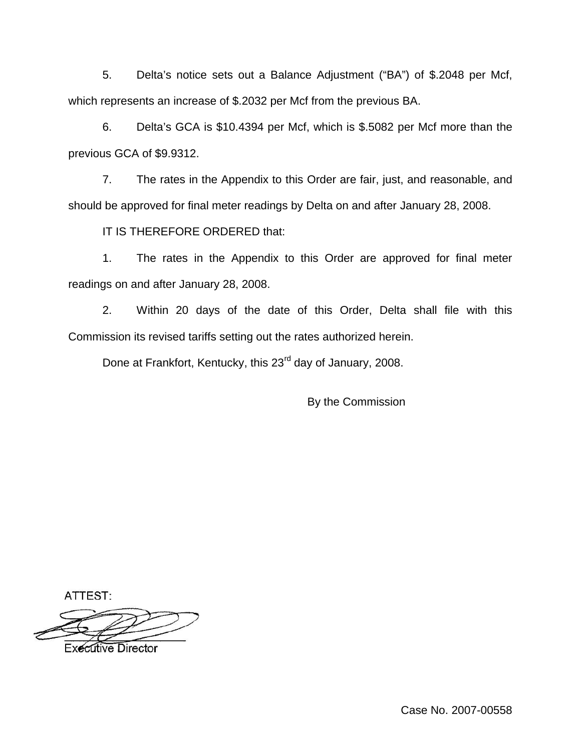5. Delta's notice sets out a Balance Adjustment ("BA") of \$.2048 per Mcf, which represents an increase of \$.2032 per Mcf from the previous BA.

6. Delta's GCA is \$10.4394 per Mcf, which is \$.5082 per Mcf more than the previous GCA of \$9.9312.

7. The rates in the Appendix to this Order are fair, just, and reasonable, and should be approved for final meter readings by Delta on and after January 28, 2008.

IT IS THEREFORE ORDERED that:

1. The rates in the Appendix to this Order are approved for final meter readings on and after January 28, 2008.

2. Within 20 days of the date of this Order, Delta shall file with this Commission its revised tariffs setting out the rates authorized herein.

Done at Frankfort, Kentucky, this 23<sup>rd</sup> day of January, 2008.

By the Commission

ATTEST:

**Executive Director** 

Case No. 2007-00558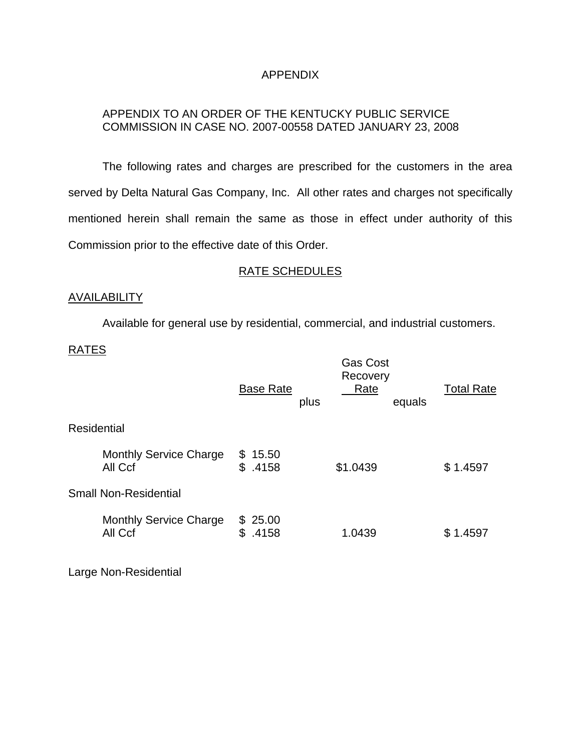## APPENDIX

# APPENDIX TO AN ORDER OF THE KENTUCKY PUBLIC SERVICE COMMISSION IN CASE NO. 2007-00558 DATED JANUARY 23, 2008

The following rates and charges are prescribed for the customers in the area served by Delta Natural Gas Company, Inc. All other rates and charges not specifically mentioned herein shall remain the same as those in effect under authority of this Commission prior to the effective date of this Order.

## RATE SCHEDULES

## AVAILABILITY

Available for general use by residential, commercial, and industrial customers.

### RATES

|                                          | <b>Base Rate</b><br>plus   | <b>Gas Cost</b><br>Recovery<br>Rate<br>equals | <b>Total Rate</b> |
|------------------------------------------|----------------------------|-----------------------------------------------|-------------------|
| <b>Residential</b>                       |                            |                                               |                   |
| <b>Monthly Service Charge</b><br>All Ccf | 15.50<br>S.<br>\$<br>.4158 | \$1.0439                                      | \$1.4597          |
| <b>Small Non-Residential</b>             |                            |                                               |                   |
| <b>Monthly Service Charge</b><br>All Ccf | \$25.00<br>.4158<br>\$     | 1.0439                                        | \$1.4597          |

Large Non-Residential